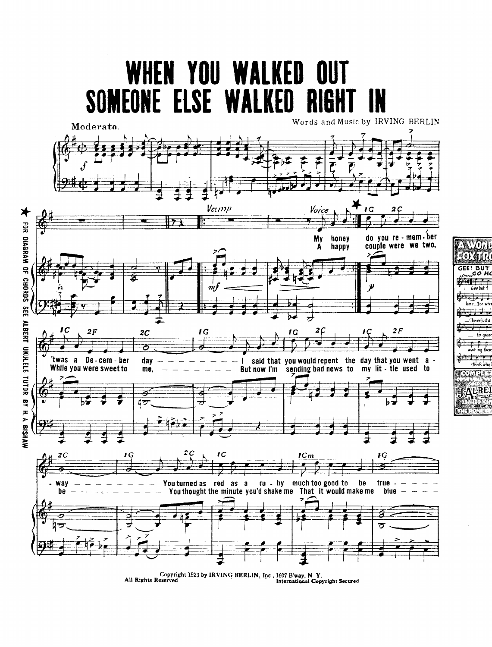

to greet

Copyright 1923 by IRVING BERLIN, Inc , 1607 B'way, N Y.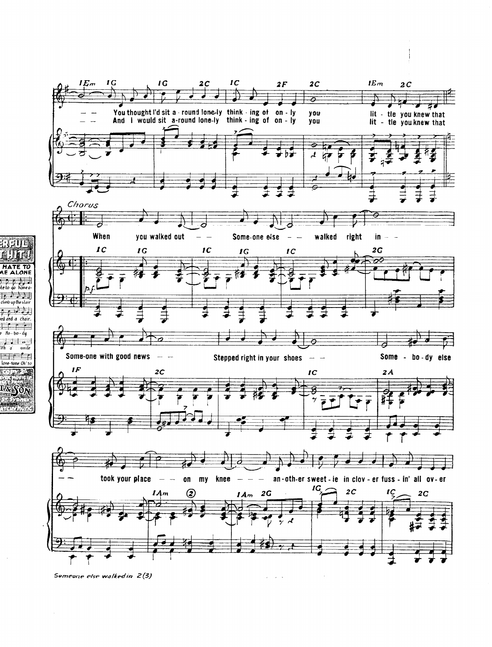

 $\mathcal{L}$  $\ddot{\phantom{a}}$ 

**ATE TO<br>ALONE** 

 $\frac{1}{40}$  home a المراث فروا climb up the stair الح (ر (مو nd a chair.  $No - bo - d\mu$ ∃. ո

smile

some Oh's

iFh a

Someone else walked in 2(3)